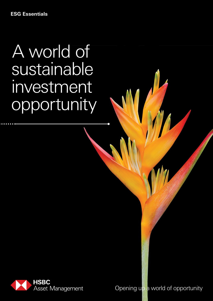# A world of sustainable investment opportunity



Opening up a world of opportunity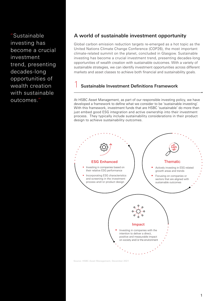"Sustainable investing has become a crucial investment trend, presenting decades-long opportunities of wealth creation with sustainable outcomes."

### A world of sustainable investment opportunity

Global carbon emission reduction targets re-emerged as a hot topic as the United Nations Climate Change Conference (COP26), the most important climate-related summit on the planet, concluded in Glasgow. Sustainable investing has become a crucial investment trend, presenting decades-long opportunities of wealth creation with sustainable outcomes. With a variety of sustainable strategies, we can identify investment opportunities across different markets and asset classes to achieve both financial and sustainability goals.

### 1 Sustainable Investment Definitions Framework

At HSBC Asset Management, as part of our responsible investing policy, we have developed a framework to define what we consider to be 'sustainable investing'. With this framework, investment funds that are HSBC 'sustainable' do more than just embed good ESG integration and active ownership into their investment process. They typically include sustainability considerations in their product design to achieve sustainability outcomes.



Source: HSBC Asset Management, December 2021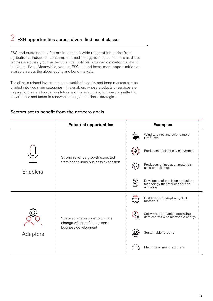## $2$  ESG opportunities across diversified asset classes

ESG and sustainability factors influence a wide range of industries from agricultural, industrial, consumption, technology to medical sectors as these factors are closely connected to social policies, economic development and individual lives. Meanwhile, various ESG-related investment opportunities are available across the global equity and bond markets.

The climate-related investment opportunities in equity and bond markets can be divided into two main categories – the enablers whose products or services are helping to create a low carbon future and the adaptors who have committed to decarbonise and factor in renewable energy in business strategies.

### Sectors set to benefit from the net-zero goals

|          | <b>Potential opportunities</b>                                                            | <b>Examples</b>                                                                                    |
|----------|-------------------------------------------------------------------------------------------|----------------------------------------------------------------------------------------------------|
| Enablers | Strong revenue growth expected<br>from continuous business expansion                      | Wind turbines and solar panels<br>producers                                                        |
|          |                                                                                           | Producers of electricity converters                                                                |
|          |                                                                                           | Producers of insulation materials<br>used on buildings                                             |
|          |                                                                                           | Developers of precision agriculture<br>$\mathcal{F}$<br>technology that reduces carbon<br>emission |
| Adaptors | Strategic adaptations to climate<br>change will benefit long-term<br>business development | Builders that adopt recycled<br>materials                                                          |
|          |                                                                                           | Software companies operating<br>data centres with renewable energy                                 |
|          |                                                                                           | Sustainable forestry                                                                               |
|          |                                                                                           | Electric car manufacturers                                                                         |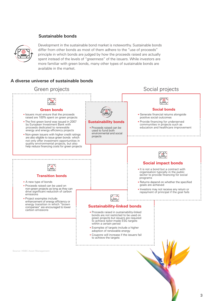### Sustainable bonds



Development in the sustainable bond market is noteworthy. Sustainable bonds differ from other bonds as most of them adhere to the "use of proceeds" principle in which bonds are judged by how the proceeds raised are actually spent instead of the levels of "greenness" of the issuers. While investors are more familiar with green bonds, many other types of sustainable bonds are available in the market.

### A diverse universe of sustainable bonds

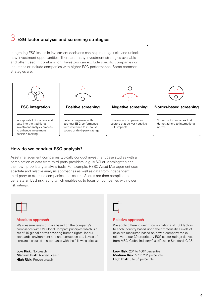### $\overrightarrow{3}$  ESG factor analysis and screening strategies

Integrating ESG issues in investment decisions can help manage risks and unlock new investment opportunities. There are many investment strategies available and often used in combination. Investors can exclude specific companies or industries or include companies with higher ESG performance. Some common strategies are:



### How do we conduct ESG analysis?

Asset management companies typically conduct investment case studies with a combination of data from third-party providers (e.g. MSCI or Morningstar) and their own proprietary analysis tools. For example, HSBC Asset Management uses absolute and relative analysis approaches as well as data from independent third-party to examine companies and issuers. Scores are then compiled to generate an ESG risk rating which enables us to focus on companies with lower risk ratings.



#### Absolute approach

We measure levels of risks based on the company's compliance with UN Global Compact principles which is a set of 10 global norms covering human rights, labour standards, environment and anti-corruption etc. Levels of risks are measured in accordance with the following criteria:

**Low Risk:** No breach **Medium Risk:** Alleged breach **High Risk: Proven breach** 



### Relative approach

We apply different weight combinations of ESG factors to each industry based upon their materiality. Levels of risks are measured based on how a company ranks relative to our 30 proprietary ESG sector ratings derived from MSCI Global Industry Classification Standard (GICS):

Low Risk: 20<sup>th</sup> to 100<sup>th</sup> percentile **Medium Risk:** 5<sup>th</sup> to 20<sup>th</sup> percentile **High Risk:** 0 to 5<sup>th</sup> percentile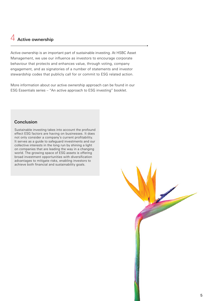### $4$  Active ownership

Active ownership is an important part of sustainable investing. At HSBC Asset Management, we use our influence as investors to encourage corporate behaviour that protects and enhances value, through voting, company engagement, and as signatories of a number of statements and investor stewardship codes that publicly call for or commit to ESG related action.

More information about our active ownership approach can be found in our [ESG Essentials series](https://www.assetmanagement.hsbc.com.hk/en/individual-investor/investor-resources/investment-academy/esg-essentials) – "An active approach to ESG investing" booklet.

### Conclusion

Sustainable investing takes into account the profound effect ESG factors are having on businesses. It does not only consider a company's current profitability. It serves as a guide to safeguard investments and our collective interests in the long run by shining a light on companies that are leading the way in a changing world. The growing space of ESG assets is offering broad investment opportunities with diversification advantages to mitigate risks, enabling investors to achieve both financial and sustainability goals.

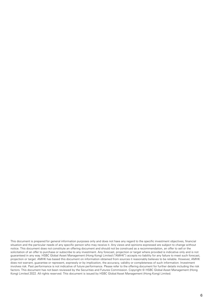This document is prepared for general information purposes only and does not have any regard to the specific investment objectives, financial situation and the particular needs of any specific person who may receive it. Any views and opinions expressed are subject to change without notice. This document does not constitute an offering document and should not be construed as a recommendation, an offer to sell or the solicitation of an offer to purchase or subscribe to any investment. Any forecast, projection or target where provided is indicative only and is not guaranteed in any way. HSBC Global Asset Management (Hong Kong) Limited ("AMHK") accepts no liability for any failure to meet such forecast, projection or target. AMHK has based this document on information obtained from sources it reasonably believes to be reliable. However, AMHK does not warrant, guarantee or represent, expressly or by implication, the accuracy, validity or completeness of such information. Investment involves risk. Past performance is not indicative of future performance. Please refer to the offering document for further details including the risk factors. This document has not been reviewed by the Securities and Futures Commission. Copyright © HSBC Global Asset Management (Hong Kong) Limited 2022. All rights reserved. This document is issued by HSBC Global Asset Management (Hong Kong) Limited.